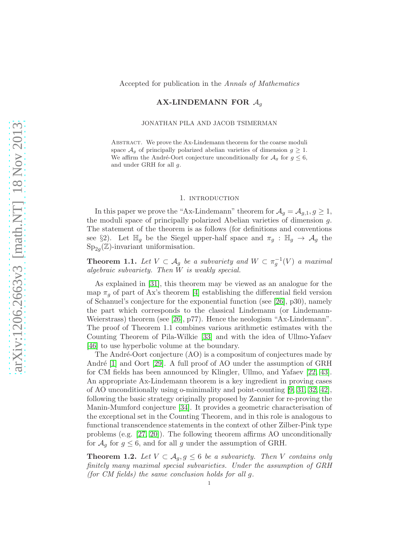## AX-LINDEMANN FOR  $A_q$

JONATHAN PILA AND JACOB TSIMERMAN

Abstract. We prove the Ax-Lindemann theorem for the coarse moduli space  $\mathcal{A}_g$  of principally polarized abelian varieties of dimension  $g \geq 1$ . We affirm the André-Oort conjecture unconditionally for  $A_g$  for  $g \leq 6$ , and under GRH for all g.

#### 1. introduction

In this paper we prove the "Ax-Lindemann" theorem for  $\mathcal{A}_q = \mathcal{A}_{q,1}, q \geq 1$ , the moduli space of principally polarized Abelian varieties of dimension g. The statement of the theorem is as follows (for definitions and conventions see §2). Let  $\mathbb{H}_g$  be the Siegel upper-half space and  $\pi_g : \mathbb{H}_g \to A_g$  the  $\text{Sp}_{2g}(\mathbb{Z})$ -invariant uniformisation.

**Theorem 1.1.** Let  $V \subset A_g$  be a subvariety and  $W \subset \pi_g^{-1}(V)$  a maximal algebraic subvariety. Then  $W$  is weakly special.

As explained in [\[31\]](#page-20-0), this theorem may be viewed as an analogue for the map  $\pi_q$  of part of Ax's theorem [\[4\]](#page-19-0) establishing the differential field version of Schanuel's conjecture for the exponential function (see [\[26\]](#page-19-1), p30), namely the part which corresponds to the classical Lindemann (or Lindemann-Weierstrass) theorem (see [\[26\]](#page-19-1), p77). Hence the neologism "Ax-Lindemann". The proof of Theorem 1.1 combines various arithmetic estimates with the Counting Theorem of Pila-Wilkie [\[33\]](#page-20-1) and with the idea of Ullmo-Yafaev [\[46\]](#page-20-2) to use hyperbolic volume at the boundary.

The André-Oort conjecture (AO) is a compositum of conjectures made by André  $[1]$  and Oort  $[29]$ . A full proof of AO under the assumption of GRH for CM fields has been announced by Klingler, Ullmo, and Yafaev [\[22,](#page-19-3) [43\]](#page-20-3). An appropriate Ax-Lindemann theorem is a key ingredient in proving cases of AO unconditionally using o-minimality and point-counting [\[9,](#page-19-4) [31,](#page-20-0) [32,](#page-20-4) [42\]](#page-20-5), following the basic strategy originally proposed by Zannier for re-proving the Manin-Mumford conjecture [\[34\]](#page-20-6). It provides a geometric characterisation of the exceptional set in the Counting Theorem, and in this role is analogous to functional transcendence statements in the context of other Zilber-Pink type problems (e.g. [\[27,](#page-19-5) [20\]](#page-19-6)). The following theorem affirms AO unconditionally for  $A_g$  for  $g \leq 6$ , and for all g under the assumption of GRH.

**Theorem 1.2.** Let  $V \subset A_q, g \leq 6$  be a subvariety. Then V contains only finitely many maximal special subvarieties. Under the assumption of GRH (for CM fields) the same conclusion holds for all g.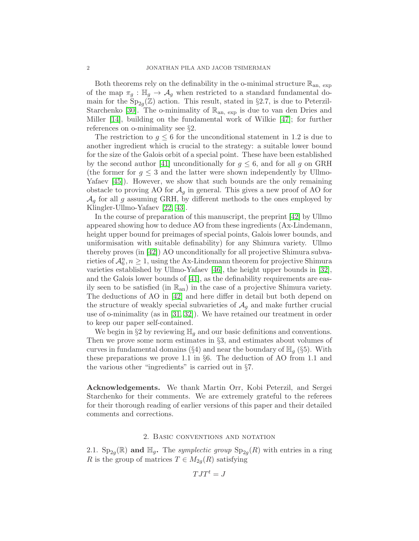Both theorems rely on the definability in the o-minimal structure  $\mathbb{R}_{\text{an. exp}}$ of the map  $\pi_g : \mathbb{H}_g \to \mathcal{A}_g$  when restricted to a standard fundamental domain for the  $Sp_{2g}(\mathbb{Z})$  action. This result, stated in §2.7, is due to Peterzil-Starchenko [\[30\]](#page-20-7). The o-minimality of  $\mathbb{R}_{an, exp}$  is due to van den Dries and Miller [\[14\]](#page-19-7), building on the fundamental work of Wilkie [\[47\]](#page-20-8); for further references on o-minimality see §2.

The restriction to  $g \leq 6$  for the unconditional statement in 1.2 is due to another ingredient which is crucial to the strategy: a suitable lower bound for the size of the Galois orbit of a special point. These have been established by the second author [\[41\]](#page-20-9) unconditionally for  $g \leq 6$ , and for all g on GRH (the former for  $g \leq 3$  and the latter were shown independently by Ullmo-Yafaev [\[45\]](#page-20-10)). However, we show that such bounds are the only remaining obstacle to proving AO for  $\mathcal{A}_g$  in general. This gives a new proof of AO for  $\mathcal{A}_q$  for all  $g$  assuming GRH, by different methods to the ones employed by Klingler-Ullmo-Yafaev [\[22,](#page-19-3) [43\]](#page-20-3).

In the course of preparation of this manuscript, the preprint [\[42\]](#page-20-5) by Ullmo appeared showing how to deduce AO from these ingredients (Ax-Lindemann, height upper bound for preimages of special points, Galois lower bounds, and uniformisation with suitable definability) for any Shimura variety. Ullmo thereby proves (in [\[42\]](#page-20-5)) AO unconditionally for all projective Shimura subvarieties of  $\mathcal{A}_6^n$ ,  $n \geq 1$ , using the Ax-Lindemann theorem for projective Shimura varieties established by Ullmo-Yafaev [\[46\]](#page-20-2), the height upper bounds in [\[32\]](#page-20-4), and the Galois lower bounds of [\[41\]](#page-20-9), as the definability requirements are easily seen to be satisfied (in  $\mathbb{R}_{an}$ ) in the case of a projective Shimura variety. The deductions of AO in [\[42\]](#page-20-5) and here differ in detail but both depend on the structure of weakly special subvarieties of  $A_q$  and make further crucial use of o-minimality (as in [\[31,](#page-20-0) [32\]](#page-20-4)). We have retained our treatment in order to keep our paper self-contained.

We begin in §2 by reviewing  $\mathbb{H}_q$  and our basic definitions and conventions. Then we prove some norm estimates in §3, and estimates about volumes of curves in fundamental domains (§4) and near the boundary of  $\mathbb{H}_q$  (§5). With these preparations we prove 1.1 in §6. The deduction of AO from 1.1 and the various other "ingredients" is carried out in §7.

Acknowledgements. We thank Martin Orr, Kobi Peterzil, and Sergei Starchenko for their comments. We are extremely grateful to the referees for their thorough reading of earlier versions of this paper and their detailed comments and corrections.

### 2. Basic conventions and notation

2.1.  $\text{Sp}_{2g}(\mathbb{R})$  and  $\mathbb{H}_g$ . The *symplectic group*  $\text{Sp}_{2g}(R)$  with entries in a ring R is the group of matrices  $T \in M_{2q}(R)$  satisfying

$$
TJT^t = J
$$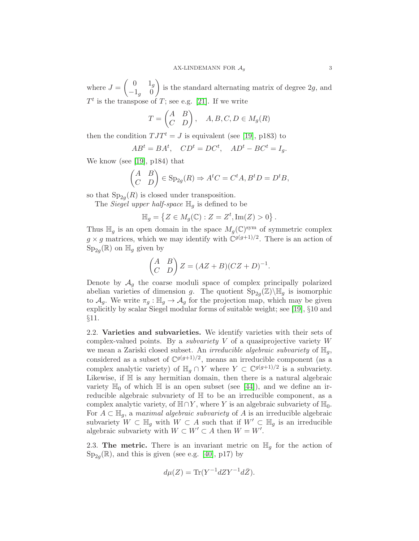where  $J =$  $\begin{pmatrix} 0 & 1_g \end{pmatrix}$  $-1_g$  0  $\setminus$ is the standard alternating matrix of degree 2g, and  $T<sup>t</sup>$  is the transpose of T; see e.g. [\[21\]](#page-19-8). If we write

$$
T = \begin{pmatrix} A & B \\ C & D \end{pmatrix}, \quad A, B, C, D \in M_g(R)
$$

then the condition  $TJT^t = J$  is equivalent (see [\[19\]](#page-19-9), p183) to

$$
ABt = BAt, \quad CDt = DCt, \quad ADt - BCt = Ig.
$$

We know (see [\[19\]](#page-19-9), p184) that

$$
\begin{pmatrix} A & B \\ C & D \end{pmatrix} \in \text{Sp}_{2g}(R) \Rightarrow A^t C = C^t A, B^t D = D^t B,
$$

so that  $Sp_{2g}(R)$  is closed under transposition.

The Siegel upper half-space  $\mathbb{H}_q$  is defined to be

$$
\mathbb{H}_g = \left\{ Z \in M_g(\mathbb{C}) : Z = Z^t, \text{Im}(Z) > 0 \right\}.
$$

Thus  $\mathbb{H}_g$  is an open domain in the space  $M_g(\mathbb{C})^{\text{sym}}$  of symmetric complex  $g \times g$  matrices, which we may identify with  $\mathbb{C}^{g(g+1)/2}$ . There is an action of  $\mathrm{Sp}_{2g}(\mathbb{R})$  on  $\mathbb{H}_g$  given by

$$
\begin{pmatrix} A & B \\ C & D \end{pmatrix} Z = (AZ + B)(CZ + D)^{-1}.
$$

Denote by  $A<sub>g</sub>$  the coarse moduli space of complex principally polarized abelian varieties of dimension g. The quotient  $\text{Sp}_{2g}(\mathbb{Z})\backslash \mathbb{H}_g$  is isomorphic to  $\mathcal{A}_g$ . We write  $\pi_g : \mathbb{H}_g \to \mathcal{A}_g$  for the projection map, which may be given explicitly by scalar Siegel modular forms of suitable weight; see [\[19\]](#page-19-9), §10 and §11.

2.2. Varieties and subvarieties. We identify varieties with their sets of complex-valued points. By a *subvariety*  $V$  of a quasiprojective variety  $W$ we mean a Zariski closed subset. An *irreducible algebraic subvariety* of  $\mathbb{H}_q$ , considered as a subset of  $\mathbb{C}^{g(g+1)/2}$ , means an irreducible component (as a complex analytic variety) of  $\mathbb{H}_g \cap Y$  where  $Y \subset \mathbb{C}^{g(g+1)/2}$  is a subvariety. Likewise, if  $\mathbb H$  is any hermitian domain, then there is a natural algebraic variety  $\mathbb{H}_0$  of which  $\mathbb{H}$  is an open subset (see [\[44\]](#page-20-11)), and we define an irreducible algebraic subvariety of H to be an irreducible component, as a complex analytic variety, of  $\mathbb{H} \cap Y$ , where Y is an algebraic subvariety of  $\mathbb{H}_0$ . For  $A \subset \mathbb{H}_q$ , a maximal algebraic subvariety of A is an irreducible algebraic subvariety  $W \subset \mathbb{H}_g$  with  $W \subset A$  such that if  $W' \subset \mathbb{H}_g$  is an irreducible algebraic subvariety with  $W \subset W' \subset A$  then  $W = W'$ .

2.3. The metric. There is an invariant metric on  $\mathbb{H}_g$  for the action of  $Sp_{2g}(\mathbb{R})$ , and this is given (see e.g. [\[40\]](#page-20-12), p17) by

$$
d\mu(Z) = \text{Tr}(Y^{-1}dZY^{-1}d\bar{Z}).
$$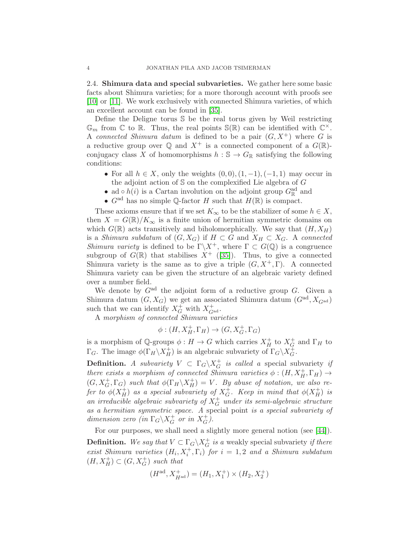2.4. Shimura data and special subvarieties. We gather here some basic facts about Shimura varieties; for a more thorough account with proofs see [\[10\]](#page-19-10) or [\[11\]](#page-19-11). We work exclusively with connected Shimura varieties, of which an excellent account can be found in [\[35\]](#page-20-13).

Define the Deligne torus S be the real torus given by Weil restricting  $\mathbb{G}_m$  from  $\mathbb{C}$  to  $\mathbb{R}$ . Thus, the real points  $\mathbb{S}(\mathbb{R})$  can be identified with  $\mathbb{C}^{\times}$ . A connected Shimura datum is defined to be a pair  $(G, X^+)$  where G is a reductive group over  $\mathbb{Q}$  and  $X^+$  is a connected component of a  $G(\mathbb{R})$ conjugacy class X of homomorphisms  $h : \mathbb{S} \to G_{\mathbb{R}}$  satisfying the following conditions:

- For all  $h \in X$ , only the weights  $(0,0), (1,-1), (-1,1)$  may occur in the adjoint action of  $S$  on the complexified Lie algebra of  $G$
- ad  $\circ$   $h(i)$  is a Cartan involution on the adjoint group  $G_{\mathbb{R}}^{\text{ad}}$  and
- $G^{\text{ad}}$  has no simple Q-factor H such that  $H(\mathbb{R})$  is compact.

These axioms ensure that if we set  $K_{\infty}$  to be the stabilizer of some  $h \in X$ , then  $X = G(\mathbb{R})/K_{\infty}$  is a finite union of hermitian symmetric domains on which  $G(\mathbb{R})$  acts transitively and biholomorphically. We say that  $(H, X_H)$ is a Shimura subdatum of  $(G, X_G)$  if  $H \subset G$  and  $X_H \subset X_G$ . A connected Shimura variety is defined to be  $\Gamma \backslash X^+$ , where  $\Gamma \subset G(\mathbb{Q})$  is a congruence subgroup of  $G(\mathbb{R})$  that stabilises  $X^+$  ([\[35\]](#page-20-13)). Thus, to give a connected Shimura variety is the same as to give a triple  $(G, X^+, \Gamma)$ . A connected Shimura variety can be given the structure of an algebraic variety defined over a number field.

We denote by  $G<sup>ad</sup>$  the adjoint form of a reductive group  $G$ . Given a Shimura datum  $(G, X_G)$  we get an associated Shimura datum  $(G<sup>ad</sup>, X<sub>G<sup>ad</sup>)</sub>$ such that we can identify  $X_G^+$  with  $X_{G^{\text{ad}}}^+$ .

A morphism of connected Shimura varieties

$$
\phi: (H, X_H^+, \Gamma_H) \to (G, X_G^+, \Gamma_G)
$$

is a morphism of  $\mathbb{Q}$ -groups  $\phi: H \to G$  which carries  $X_H^+$  $H^+$  to  $X_G^+$  $\overline{G}$  and  $\Gamma_H$  to  $\Gamma_G$ . The image  $\phi(\Gamma_H \backslash X_H^+)$  is an algebraic subvariety of  $\Gamma_G \backslash X_G^+$  $_G^+$ .

**Definition.** A subvariety  $V \subset \Gamma_G \backslash X_G^+$  $\overline{G}$  is called a special subvariety if there exists a morphism of connected Shimura varieties  $\phi$  :  $(H, X_H^+, \Gamma_H) \rightarrow$  $(G, X_G^+, \Gamma_G)$  such that  $\phi(\Gamma_H \backslash X_H^+)$  $H(H) = V$ . By abuse of notation, we also refer to  $\phi(X_H^+)$  $_H^+$ ) as a special subvariety of  $X_G^+$  $\stackrel{\leftarrow}{G}$ . Keep in mind that  $\phi(X_H^+)$  $\binom{+}{H}$  is an irreducible algebraic subvariety of  $X_G^+$  under its semi-algebraic structure as a hermitian symmetric space. A special point is a special subvariety of dimension zero (in  $\Gamma_G \backslash X_G^+$  $_G^+$  or in  $X_G^+$  $_G^+$ ).

For our purposes, we shall need a slightly more general notion (see [\[44\]](#page-20-11)).

**Definition.** We say that  $V \subset \Gamma_G \backslash X_G^+$  $\overrightarrow{G}$  is a weakly special subvariety if there exist Shimura varieties  $(H_i, X_i^+, \Gamma_i)$  for  $i = 1, 2$  and a Shimura subdatum  $(H, X_H^+) \subset (G, X_G^+)$  such that

$$
(H^{\rm ad}, X_{H^{\rm ad}}^+) = (H_1, X_1^+) \times (H_2, X_2^+)
$$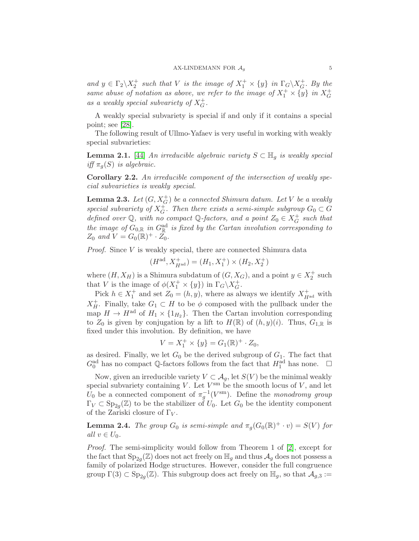and  $y \in \Gamma_2 \backslash X_2^+$  such that V is the image of  $X_1^+ \times \{y\}$  in  $\Gamma_G \backslash X_G^+$  $\overline{G}$ . By the same abuse of notation as above, we refer to the image of  $X_1^+ \times \{y\}$  in  $X_G^+$ G as a weakly special subvariety of  $X_G^+$  $_G^+$ .

A weakly special subvariety is special if and only if it contains a special point; see [\[28\]](#page-19-12).

The following result of Ullmo-Yafaev is very useful in working with weakly special subvarieties:

<span id="page-4-0"></span>**Lemma 2.1.** [\[44\]](#page-20-11) An irreducible algebraic variety  $S \subset \mathbb{H}_q$  is weakly special iff  $\pi_q(S)$  is algebraic.

<span id="page-4-2"></span>Corollary 2.2. An irreducible component of the intersection of weakly special subvarieties is weakly special.

<span id="page-4-3"></span>**Lemma 2.3.** Let  $(G, X_G^+)$  be a connected Shimura datum. Let V be a weakly special subvariety of  $X_G^+$ . Then there exists a semi-simple subgroup  $G_0 \subset G$ defined over  $\mathbb{Q}$ , with no compact  $\mathbb{Q}$ -factors, and a point  $Z_0 \in X_G^+$  $\overline{G}^*$  such that the image of  $G_{0,\mathbb{R}}$  in  $G_{\mathbb{R}}^{ad}$  is fixed by the Cartan involution corresponding to  $Z_0$  and  $V = G_0(\mathbb{R})^+ \cdot \overline{Z_0}.$ 

Proof. Since V is weakly special, there are connected Shimura data

$$
(H^{\rm ad}, X^+_{H^{\rm ad}}) = (H_1, X_1^+) \times (H_2, X_2^+)
$$

where  $(H, X_H)$  is a Shimura subdatum of  $(G, X_G)$ , and a point  $y \in X_2^+$  such that V is the image of  $\phi(X_1^+ \times \{y\})$  in  $\Gamma_G \backslash X_G^+$  $_G^+$ .

Pick  $h \in X_1^+$  and set  $Z_0 = (h, y)$ , where as always we identify  $X_{H^{\text{ad}}}^+$  with  $X_H^+$  $_H^+$ . Finally, take  $G_1 \subset H$  to be  $\phi$  composed with the pullback under the map  $H \to H^{ad}$  of  $H_1 \times \{1_{H_2}\}\$ . Then the Cartan involution corresponding to  $Z_0$  is given by conjugation by a lift to  $H(\mathbb{R})$  of  $(h, y)(i)$ . Thus,  $G_{1,\mathbb{R}}$  is fixed under this involution. By definition, we have

$$
V = X_1^+ \times \{y\} = G_1(\mathbb{R})^+ \cdot Z_0,
$$

as desired. Finally, we let  $G_0$  be the derived subgroup of  $G_1$ . The fact that  $G_0^{\text{ad}}$  has no compact  $\mathbb Q$ -factors follows from the fact that  $H_1^{\text{ad}}$  has none.  $\Box$ 

Now, given an irreducible variety  $V \subset A_g$ , let  $S(V)$  be the minimal weakly special subvariety containing V. Let  $V^{\text{sm}}$  be the smooth locus of V, and let  $U_0$  be a connected component of  $\pi_g^{-1}(V^{\text{sm}})$ . Define the monodromy group  $\Gamma_V \subset \text{Sp}_{2g}(\mathbb{Z})$  to be the stabilizer of  $U_0$ . Let  $G_0$  be the identity component of the Zariski closure of  $\Gamma_V$ .

<span id="page-4-1"></span>**Lemma 2.4.** The group  $G_0$  is semi-simple and  $\pi_g(G_0(\mathbb{R})^+ \cdot v) = S(V)$  for all  $v \in U_0$ .

Proof. The semi-simplicity would follow from Theorem 1 of [\[2\]](#page-18-1), except for the fact that  $\text{Sp}_{2g}(\mathbb{Z})$  does not act freely on  $\mathbb{H}_g$  and thus  $\mathcal{A}_g$  does not possess a family of polarized Hodge structures. However, consider the full congruence group  $\Gamma(3) \subset \text{Sp}_{2g}(\mathbb{Z})$ . This subgroup does act freely on  $\mathbb{H}_g$ , so that  $\mathcal{A}_{g,3} :=$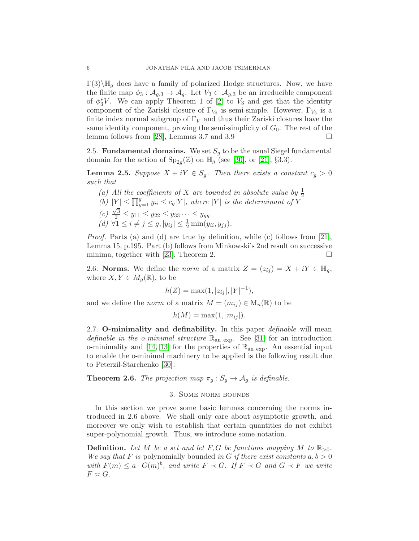$\Gamma(3)\backslash\mathbb{H}_q$  does have a family of polarized Hodge structures. Now, we have the finite map  $\phi_3 : \mathcal{A}_{g,3} \to \mathcal{A}_g$ . Let  $V_3 \subset \mathcal{A}_{g,3}$  be an irreducible component of  $\phi_3^*V$ . We can apply Theorem 1 of [\[2\]](#page-18-1) to  $V_3$  and get that the identity component of the Zariski closure of  $\Gamma_{V_3}$  is semi-simple. However,  $\Gamma_{V_3}$  is a finite index normal subgroup of  $\Gamma_V$  and thus their Zariski closures have the same identity component, proving the semi-simplicity of  $G_0$ . The rest of the lemma follows from [\[28\]](#page-19-12), Lemmas 3.7 and 3.9

2.5. **Fundamental domains.** We set  $S<sub>g</sub>$  to be the usual Siegel fundamental domain for the action of  $Sp_{2g}(\mathbb{Z})$  on  $\mathbb{H}_g$  (see [\[30\]](#page-20-7), or [\[21\]](#page-19-8), §3.3).

<span id="page-5-0"></span>**Lemma 2.5.** Suppose  $X + iY \in S_q$ . Then there exists a constant  $c_q > 0$ such that

(a) All the coefficients of X are bounded in absolute value by  $\frac{1}{2}$ (b)  $|Y| \le \prod_{y=1}^g y_{ii} \le c_g |Y|$ , where  $|Y|$  is the determinant of Y  $(c)$   $\frac{\sqrt{3}}{2} \leq y_{11} \leq y_{22} \leq y_{33} \cdots \leq y_{gg}$ (d)  $\forall 1 \le i \ne j \le g, |y_{ij}| \le \frac{1}{2} \min(y_{ii}, y_{jj}).$ 

Proof. Parts (a) and (d) are true by definition, while (c) follows from [\[21\]](#page-19-8), Lemma 15, p.195. Part (b) follows from Minkowski's 2nd result on successive minima, together with [\[23\]](#page-19-13), Theorem 2.

2.6. Norms. We define the norm of a matrix  $Z = (z_{ij}) = X + iY \in \mathbb{H}_q$ , where  $X, Y \in M_q(\mathbb{R})$ , to be

$$
h(Z) = \max(1, |z_{ij}|, |Y|^{-1}),
$$

and we define the *norm* of a matrix  $M = (m_{ij}) \in M_n(\mathbb{R})$  to be

$$
h(M) = \max(1, |m_{ij}|).
$$

2.7. O-minimality and definability. In this paper *definable* will mean definable in the o-minimal structure  $\mathbb{R}_{\text{an exp}}$ . See [\[31\]](#page-20-0) for an introduction o-minimality and [\[14,](#page-19-7) [13\]](#page-19-14) for the properties of  $\mathbb{R}_{\text{an exp}}$ . An essential input to enable the o-minimal machinery to be applied is the following result due to Peterzil-Starchenko [\[30\]](#page-20-7):

<span id="page-5-1"></span>**Theorem 2.6.** The projection map  $\pi_g : S_g \to A_g$  is definable.

# 3. Some norm bounds

In this section we prove some basic lemmas concerning the norms introduced in 2.6 above. We shall only care about asymptotic growth, and moreover we only wish to establish that certain quantities do not exhibit super-polynomial growth. Thus, we introduce some notation.

**Definition.** Let M be a set and let F, G be functions mapping M to  $\mathbb{R}_{>0}$ . We say that F is polynomially bounded in G if there exist constants  $a, b > 0$ with  $F(m) \leq a \cdot G(m)^b$ , and write  $F \prec G$ . If  $F \prec G$  and  $G \prec F$  we write  $F \simeq G$ .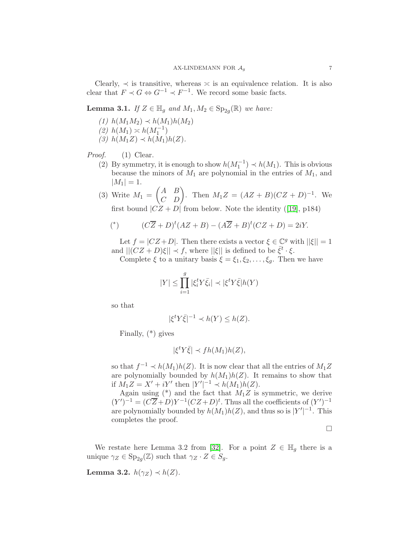Clearly,  $\prec$  is transitive, whereas  $\prec$  is an equivalence relation. It is also clear that  $F \prec G \Leftrightarrow G^{-1} \prec F^{-1}$ . We record some basic facts.

**Lemma 3.1.** If  $Z \in \mathbb{H}_g$  and  $M_1, M_2 \in \text{Sp}_{2g}(\mathbb{R})$  we have:

(1)  $h(M_1M_2) \prec h(M_1)h(M_2)$ (2)  $h(M_1) \asymp h(M_1^{-1})$ (3)  $h(M_1Z) \prec h(M_1)h(Z)$ .

Proof. (1) Clear.

- (2) By symmetry, it is enough to show  $h(M_1^{-1}) \prec h(M_1)$ . This is obvious because the minors of  $M_1$  are polynomial in the entries of  $M_1$ , and  $|M_1| = 1.$
- $(3)$  Write  $M_1 =$  $\begin{pmatrix} A & B \\ C & D \end{pmatrix}$ . Then  $M_1Z = (AZ + B)(CZ + D)^{-1}$ . We firstbound  $|CZ + D|$  from below. Note the identity ([\[19\]](#page-19-9), p184)

(\*) 
$$
(C\overline{Z} + D)^t (AZ + B) - (A\overline{Z} + B)^t (CZ + D) = 2iY.
$$

Let  $f = |CZ + D|$ . Then there exists a vector  $\xi \in \mathbb{C}^g$  with  $||\xi|| = 1$ and  $||(CZ + D)\xi|| \prec f$ , where  $||\xi||$  is defined to be  $\bar{\xi}^t \cdot \xi$ .

Complete  $\xi$  to a unitary basis  $\xi = \xi_1, \xi_2, \dots, \xi_g$ . Then we have

$$
|Y| \le \prod_{i=1}^g |\xi_i^t Y \bar{\xi}_i| \prec |\xi^t Y \bar{\xi}| h(Y)
$$

so that

$$
|\xi^t Y \bar{\xi}|^{-1} \prec h(Y) \le h(Z).
$$

Finally, (\*) gives

$$
|\xi^t Y \bar{\xi}| \prec fh(M_1)h(Z),
$$

so that  $f^{-1} \prec h(M_1)h(Z)$ . It is now clear that all the entries of  $M_1Z$ are polynomially bounded by  $h(M_1)h(Z)$ . It remains to show that if  $M_1 Z = X' + iY'$  then  $|Y'|^{-1} \prec h(M_1)h(Z)$ .

Again using (\*) and the fact that  $M_1Z$  is symmetric, we derive  $(Y')^{-1} = (C\overline{Z} + D)Y^{-1}(CZ + D)^t$ . Thus all the coefficients of  $(Y')^{-1}$ are polynomially bounded by  $h(M_1)h(Z)$ , and thus so is  $|Y'|^{-1}$ . This completes the proof.

 $\Box$ 

We restate here Lemma 3.2 from [\[32\]](#page-20-4). For a point  $Z \in \mathbb{H}_q$  there is a unique  $\gamma_Z \in \text{Sp}_{2g}(\mathbb{Z})$  such that  $\gamma_Z \cdot Z \in S_g$ .

<span id="page-6-0"></span>Lemma 3.2.  $h(\gamma_Z) \prec h(Z)$ .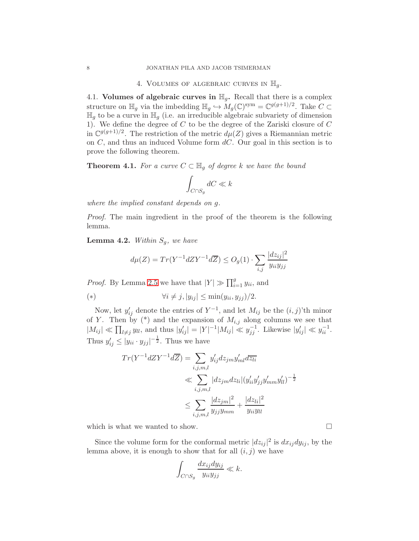### 4. VOLUMES OF ALGEBRAIC CURVES IN  $\mathbb{H}_q$ .

4.1. Volumes of algebraic curves in  $\mathbb{H}_g$ . Recall that there is a complex structure on  $\mathbb{H}_g$  via the imbedding  $\mathbb{H}_g \hookrightarrow M_g(\mathbb{C})^{\text{sym}} = \mathbb{C}^{g(g+1)/2}$ . Take  $C \subset$  $\mathbb{H}_g$  to be a curve in  $\mathbb{H}_g$  (i.e. an irreducible algebraic subvariety of dimension 1). We define the degree of C to be the degree of the Zariski closure of C in  $\mathbb{C}^{g(g+1)/2}$ . The restriction of the metric  $d\mu(Z)$  gives a Riemannian metric on  $C$ , and thus an induced Volume form  $dC$ . Our goal in this section is to prove the following theorem.

<span id="page-7-0"></span>**Theorem 4.1.** For a curve  $C \subset \mathbb{H}_q$  of degree k we have the bound

$$
\int_{C \cap S_g} dC \ll k
$$

where the implied constant depends on g.

Proof. The main ingredient in the proof of the theorem is the following lemma.

**Lemma 4.2.** Within  $S_q$ , we have

$$
d\mu(Z) = Tr(Y^{-1}dZY^{-1}d\overline{Z}) \leq O_g(1) \cdot \sum_{i,j} \frac{|dz_{ij}|^2}{y_{ii}y_{jj}}
$$

*Proof.* By Lemma [2.5](#page-5-0) we have that  $|Y| \gg \prod_{i=1}^{g} y_{ii}$ , and

(\*) 
$$
\forall i \neq j, |y_{ij}| \leq \min(y_{ii}, y_{jj})/2.
$$

Now, let  $y'_{ij}$  denote the entries of  $Y^{-1}$ , and let  $M_{ij}$  be the  $(i, j)$ 'th minor of Y. Then by  $(*)$  and the expansion of  $M_{i,j}$  along columns we see that  $|M_{ij}| \ll \prod_{l \neq j} y_{ll}$ , and thus  $|y'_{ij}| = |Y|^{-1}|M_{ij}| \ll y_{jj}^{-1}$ . Likewise  $|y'_{ij}| \ll y_{ii}^{-1}$ . Thus  $y'_{ij} \le |y_{ii} \cdot y_{jj}|^{-\frac{1}{2}}$ . Thus we have

$$
Tr(Y^{-1}dZY^{-1}d\overline{Z}) = \sum_{i,j,m,l} y'_{ij}dz_{jm}y'_{ml}d\overline{z_{li}}
$$
  

$$
\ll \sum_{i,j,m,l} |dz_{jm}dz_{li}|(y'_{ii}y'_{jj}y'_{mm}y'_{ll})^{-\frac{1}{2}}
$$
  

$$
\leq \sum_{i,j,m,l} \frac{|dz_{jm}|^2}{y_{jj}y_{mm}} + \frac{|dz_{li}|^2}{y_{ii}y_{ll}}
$$

which is what we wanted to show.  $\Box$ 

Since the volume form for the conformal metric  $|dz_{ij}|^2$  is  $dx_{ij}dy_{ij}$ , by the lemma above, it is enough to show that for all  $(i, j)$  we have

$$
\int_{C \cap S_g} \frac{dx_{ij} dy_{ij}}{y_{ii} y_{jj}} \ll k.
$$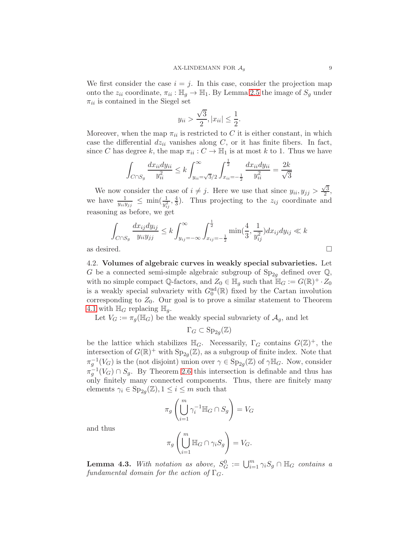We first consider the case  $i = j$ . In this case, consider the projection map onto the  $z_{ii}$  coordinate,  $\pi_{ii} : \mathbb{H}_g \to \mathbb{H}_1$ . By Lemma [2.5](#page-5-0) the image of  $S_g$  under  $\pi_{ii}$  is contained in the Siegel set

$$
y_{ii} > \frac{\sqrt{3}}{2}, |x_{ii}| \le \frac{1}{2}.
$$

Moreover, when the map  $\pi_{ii}$  is restricted to C it is either constant, in which case the differential  $dz_{ii}$  vanishes along C, or it has finite fibers. In fact, since C has degree k, the map  $\pi_{ii}: C \to \mathbb{H}_1$  is at most k to 1. Thus we have

$$
\int_{C \cap S_g} \frac{dx_{ii} dy_{ii}}{y_{ii}^2} \le k \int_{y_{ii} = \sqrt{3}/2}^{\infty} \int_{x_{ii} = -\frac{1}{2}}^{\frac{1}{2}} \frac{dx_{ii} dy_{ii}}{y_{ii}^2} = \frac{2k}{\sqrt{3}}
$$

We now consider the case of  $i \neq j$ . Here we use that since  $y_{ii}, y_{jj} > \frac{\sqrt{3}}{2}$  $\frac{73}{2}$ , we have  $\frac{1}{y_{ii}y_{jj}} \leq \min(\frac{1}{y_{ij}^2}, \frac{4}{3})$  $\frac{4}{3}$ ). Thus projecting to the  $z_{ij}$  coordinate and reasoning as before, we get

$$
\int_{C \cap S_g} \frac{dx_{ij}dy_{ij}}{y_{ii}y_{jj}} \le k \int_{y_{ij} = -\infty}^{\infty} \int_{x_{ij} = -\frac{1}{2}}^{\frac{1}{2}} \min(\frac{4}{3}, \frac{1}{y_{ij}^2}) dx_{ij} dy_{ij} \ll k
$$
  
as desired.

4.2. Volumes of algebraic curves in weakly special subvarieties. Let G be a connected semi-simple algebraic subgroup of  $Sp_{2q}$  defined over  $\mathbb{Q}$ , with no simple compact Q-factors, and  $Z_0 \in \mathbb{H}_g$  such that  $\mathbb{H}_G := G(\mathbb{R})^+ \cdot Z_0$ is a weakly special subvariety with  $G_0^{\text{ad}}(\mathbb{R})$  fixed by the Cartan involution corresponding to  $Z_0$ . Our goal is to prove a similar statement to Theorem [4.1](#page-7-0) with  $\mathbb{H}_G$  replacing  $\mathbb{H}_q$ .

Let  $V_G := \pi_g(\mathbb{H}_G)$  be the weakly special subvariety of  $\mathcal{A}_g$ , and let

$$
\Gamma_G \subset \mathrm{Sp}_{2g}(\mathbb{Z})
$$

be the lattice which stabilizes  $\mathbb{H}_G$ . Necessarily,  $\Gamma_G$  contains  $G(\mathbb{Z})^+$ , the intersection of  $G(\mathbb{R})^+$  with  $Sp_{2g}(\mathbb{Z})$ , as a subgroup of finite index. Note that  $\pi_g^{-1}(V_G)$  is the (not disjoint) union over  $\gamma \in \text{Sp}_{2g}(\mathbb{Z})$  of  $\gamma \mathbb{H}_G$ . Now, consider  $\pi_g^{-1}(V_G) \cap S_g$ . By Theorem [2.6](#page-5-1) this intersection is definable and thus has only finitely many connected components. Thus, there are finitely many elements  $\gamma_i \in \mathrm{Sp}_{2g}(\mathbb{Z}), 1 \leq i \leq m$  such that

$$
\pi_g \left( \bigcup_{i=1}^m \gamma_i^{-1} \mathbb{H}_G \cap S_g \right) = V_G
$$

and thus

$$
\pi_g \left( \bigcup_{i=1}^m \mathbb{H}_G \cap \gamma_i S_g \right) = V_G.
$$

**Lemma 4.3.** With notation as above,  $S_G^0 := \bigcup_{i=1}^m \gamma_i S_g \cap \mathbb{H}_G$  contains a fundamental domain for the action of  $\Gamma_G$ .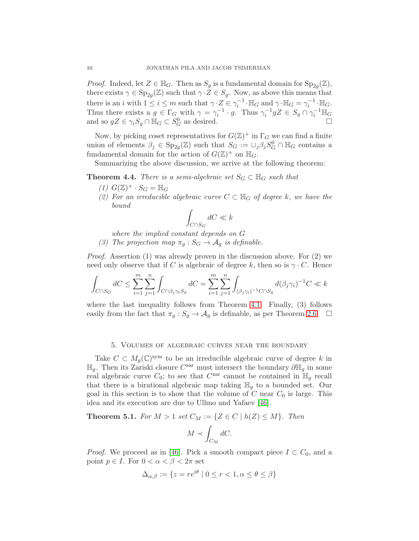*Proof.* Indeed, let  $Z \in \mathbb{H}_G$ . Then as  $S_g$  is a fundamental domain for  $Sp_{2g}(\mathbb{Z})$ , there exists  $\gamma \in \text{Sp}_{2g}(\mathbb{Z})$  such that  $\gamma \cdot Z \in S_g$ . Now, as above this means that there is an i with  $1 \leq i \leq m$  such that  $\gamma \cdot Z \in \gamma_i^{-1} \cdot \mathbb{H}_G$  and  $\gamma \cdot \mathbb{H}_G = \gamma_i^{-1} \cdot \mathbb{H}_G$ . Thus there exists a  $g \in \Gamma_G$  with  $\gamma = \gamma_i^{-1} \cdot g$ . Thus  $\gamma_i^{-1} gZ \in S_g \cap \gamma_i^{-1} \mathbb{H}_G$ and so  $gZ \in \gamma_i S_g \cap \mathbb{H}_G \subset S_G^0$  $\overline{G}$  as desired.

Now, by picking coset representatives for  $G(\mathbb{Z})^+$  in  $\Gamma_G$  we can find a finite union of elements  $\beta_j \in \text{Sp}_{2g}(\mathbb{Z})$  such that  $S_G := \cup_j \beta_j S_G^0 \cap \mathbb{H}_G$  contains a fundamental domain for the action of  $G(\mathbb{Z})^+$  on  $\mathbb{H}_G$ .

Summarizing the above discussion, we arrive at the following theorem:

<span id="page-9-1"></span>**Theorem 4.4.** There is a semi-algebraic set  $S_G \subset \mathbb{H}_G$  such that

- (1)  $G(\mathbb{Z})^+\cdot S_G = \mathbb{H}_G$
- (2) For an irreducible algebraic curve  $C \subset \mathbb{H}_G$  of degree k, we have the bound

$$
\int_{C\cap S_G}dC\ll k
$$

where the implied constant depends on G

(3) The projection map  $\pi_q : S_G \to A_q$  is definable.

Proof. Assertion (1) was already proven in the discussion above. For (2) we need only observe that if C is algebraic of degree k, then so is  $\gamma \cdot C$ . Hence

$$
\int_{C\cap S_G}dC\leq \sum_{i=1}^m\sum_{j=1}^n\int_{C\cap \beta_j\gamma_iS_g}dC=\sum_{i=1}^m\sum_{j=1}^n\int_{(\beta_j\gamma_i)^{-1}C\cap S_g}d(\beta_j\gamma_i)^{-1}C\ll k
$$

where the last inequality follows from Theorem [4.1.](#page-7-0) Finally, (3) follows easily from the fact that  $\pi_g : S_g \to A_g$  is definable, as per Theorem [2.6.](#page-5-1)  $\Box$ 

#### 5. Volumes of algebraic curves near the boundary

Take  $C \subset M_g(\mathbb{C})^{\text{sym}}$  to be an irreducible algebraic curve of degree k in  $\mathbb{H}_g$ . Then its Zariski closure  $C^{\text{zar}}$  must intersect the boundary  $\partial \mathbb{H}_g$  in some real algebraic curve  $C_0$ ; to see that  $C^{\text{zar}}$  cannot be contained in  $\mathbb{H}_g$  recall that there is a birational algebraic map taking  $\mathbb{H}_g$  to a bounded set. Our goal in this section is to show that the volume of  $C$  near  $C_0$  is large. This idea and its execution are due to Ullmo and Yafaev [\[46\]](#page-20-2).

<span id="page-9-0"></span>**Theorem 5.1.** For  $M > 1$  set  $C_M := \{Z \in C \mid h(Z) \leq M\}$ . Then

$$
M \prec \int_{C_M} dC.
$$

*Proof.* We proceed as in [\[46\]](#page-20-2). Pick a smooth compact piece  $I \subset C_0$ , and a point  $p \in I$ . For  $0 < \alpha < \beta < 2\pi$  set

$$
\Delta_{\alpha,\beta} := \{ z = re^{i\theta} \mid 0 \le r < 1, \alpha \le \theta \le \beta \}
$$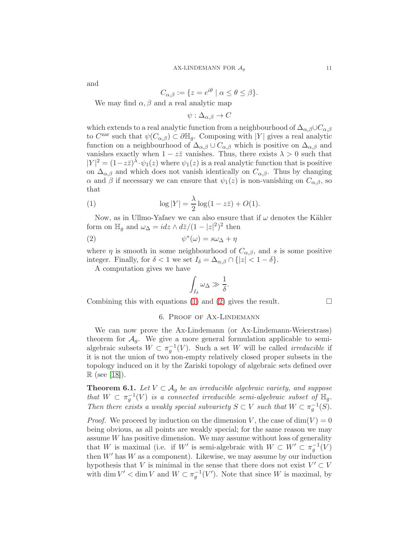and

$$
C_{\alpha,\beta} := \{ z = e^{i\theta} \mid \alpha \le \theta \le \beta \}.
$$

We may find  $\alpha, \beta$  and a real analytic map

 $\psi : \Delta_{\alpha, \beta} \to C$ 

which extends to a real analytic function from a neighbourhood of  $\Delta_{\alpha,\beta}\cup C_{\alpha,\beta}$ to  $C^{\text{zar}}$  such that  $\psi(C_{\alpha,\beta}) \subset \partial \mathbb{H}_g$ . Composing with |Y| gives a real analytic function on a neighbourhood of  $\Delta_{\alpha,\beta} \cup C_{\alpha,\beta}$  which is positive on  $\Delta_{\alpha,\beta}$  and vanishes exactly when  $1 - z\overline{z}$  vanishes. Thus, there exists  $\lambda > 0$  such that  $|Y|^2 = (1 - z\overline{z})^{\lambda} \cdot \psi_1(z)$  where  $\psi_1(z)$  is a real analytic function that is positive on  $\Delta_{\alpha,\beta}$  and which does not vanish identically on  $C_{\alpha,\beta}$ . Thus by changing α and β if necessary we can ensure that  $\psi_1(z)$  is non-vanishing on  $C_{\alpha,\beta}$ , so that

<span id="page-10-0"></span>(1) 
$$
\log |Y| = \frac{\lambda}{2} \log(1 - z\bar{z}) + O(1).
$$

Now, as in Ullmo-Yafaev we can also ensure that if  $\omega$  denotes the Kähler form on  $\mathbb{H}_g$  and  $\omega_{\Delta} = i dz \wedge d\overline{z} / (1 - |z|^2)^2$  then

$$
(2) \t\t\t \psi^*(\omega) = s\omega_\Delta + \eta
$$

where  $\eta$  is smooth in some neighbourhood of  $C_{\alpha,\beta}$ , and s is some positive integer. Finally, for  $\delta < 1$  we set  $I_{\delta} = \Delta_{\alpha,\beta} \cap \{|z| < 1 - \delta\}.$ 

A computation gives we have

<span id="page-10-1"></span>
$$
\int_{I_{\delta}} \omega_{\Delta} \gg \frac{1}{\delta}.
$$

Combining this with equations [\(1\)](#page-10-0) and [\(2\)](#page-10-1) gives the result.  $\Box$ 

### 6. Proof of Ax-Lindemann

We can now prove the Ax-Lindemann (or Ax-Lindemann-Weierstrass) theorem for  $A_q$ . We give a more general formulation applicable to semialgebraic subsets  $W \subset \pi_g^{-1}(V)$ . Such a set W will be called *irreducible* if it is not the union of two non-empty relatively closed proper subsets in the topology induced on it by the Zariski topology of algebraic sets defined over  $\mathbb{R}$  (see [\[18\]](#page-19-15)).

<span id="page-10-2"></span>**Theorem 6.1.** Let  $V \subset A_q$  be an irreducible algebraic variety, and suppose that  $W \subset \pi_g^{-1}(V)$  is a connected irreducible semi-algebraic subset of  $\mathbb{H}_g$ . Then there exists a weakly special subvariety  $S \subset V$  such that  $W \subset \pi_g^{-1}(S)$ .

*Proof.* We proceed by induction on the dimension V, the case of  $dim(V) = 0$ being obvious, as all points are weakly special; for the same reason we may assume  $W$  has positive dimension. We may assume without loss of generality that W is maximal (i.e. if W' is semi-algebraic with  $W \subset W' \subset \pi_g^{-1}(V)$ then  $W'$  has  $W$  as a component). Likewise, we may assume by our induction hypothesis that V is minimal in the sense that there does not exist  $V' \subset V$ with dim  $V' < \dim V$  and  $W \subset \pi_g^{-1}(V')$ . Note that since W is maximal, by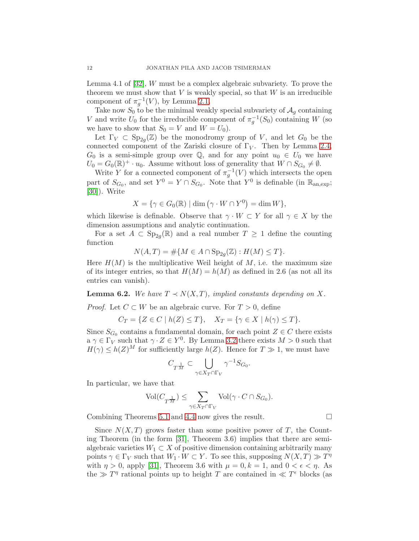Lemma 4.1 of [\[32\]](#page-20-4), W must be a complex algebraic subvariety. To prove the theorem we must show that  $V$  is weakly special, so that  $W$  is an irreducible component of  $\pi_g^{-1}(V)$ , by Lemma [2.1.](#page-4-0)

Take now  $S_0$  to be the minimal weakly special subvariety of  $A_q$  containing V and write  $U_0$  for the irreducible component of  $\pi_g^{-1}(S_0)$  containing W (so we have to show that  $S_0 = V$  and  $W = U_0$ .

Let  $\Gamma_V \subset \text{Sp}_{2g}(\mathbb{Z})$  be the monodromy group of V, and let  $G_0$  be the connected component of the Zariski closure of  $\Gamma_V$ . Then by Lemma [2.4,](#page-4-1)  $G_0$  is a semi-simple group over  $\mathbb{Q}$ , and for any point  $u_0 \in U_0$  we have  $U_0 = G_0(\mathbb{R})^+ \cdot u_0$ . Assume without loss of generality that  $W \cap S_{G_0} \neq \emptyset$ .

Write Y for a connected component of  $\pi_g^{-1}(V)$  which intersects the open part of  $S_{G_0}$ , and set  $Y^0 = Y \cap S_{G_0}$ . Note that  $Y^0$  is definable (in  $\mathbb{R}_{\text{an,exp}}$ ; [\[30\]](#page-20-7)). Write

$$
X = \{ \gamma \in G_0(\mathbb{R}) \mid \dim \left( \gamma \cdot W \cap Y^0 \right) = \dim W \},\
$$

which likewise is definable. Observe that  $\gamma \cdot W \subset Y$  for all  $\gamma \in X$  by the dimension assumptions and analytic continuation.

For a set  $A \subset \text{Sp}_{2g}(\mathbb{R})$  and a real number  $T \geq 1$  define the counting function

 $N(A, T) = \# \{ M \in A \cap \text{Sp}_{2g}(\mathbb{Z}) : H(M) \leq T \}.$ 

Here  $H(M)$  is the multiplicative Weil height of M, i.e. the maximum size of its integer entries, so that  $H(M) = h(M)$  as defined in 2.6 (as not all its entries can vanish).

**Lemma 6.2.** We have  $T \prec N(X,T)$ , implied constants depending on X.

*Proof.* Let  $C \subset W$  be an algebraic curve. For  $T > 0$ , define

$$
C_T = \{ Z \in C \mid h(Z) \leq T \}, \quad X_T = \{ \gamma \in X \mid h(\gamma) \leq T \}.
$$

Since  $S_{G_0}$  contains a fundamental domain, for each point  $Z \in \mathbb{C}$  there exists  $a \gamma \in \Gamma_V$  such that  $\gamma \cdot Z \in Y^0$ . By Lemma [3.2](#page-6-0) there exists  $M > 0$  such that  $H(\gamma) \leq h(Z)^M$  for sufficiently large  $h(Z)$ . Hence for  $T \gg 1$ , we must have

$$
C_{T^{\frac{1}{M}}} \subset \bigcup_{\gamma \in X_T \cap \Gamma_V} \gamma^{-1} S_{G_0}
$$

.

In particular, we have that

$$
\text{Vol}(C_{T^{\frac{1}{M}}})\leq \sum_{\gamma\in X_T\cap \Gamma_V}\text{Vol}(\gamma\cdot C\cap S_{G_0}).
$$

Combining Theorems [5.1](#page-9-0) and [4.4](#page-9-1) now gives the result.

Since  $N(X,T)$  grows faster than some positive power of T, the Counting Theorem (in the form [\[31\]](#page-20-0), Theorem 3.6) implies that there are semialgebraic varieties  $W_1 \subset X$  of positive dimension containing arbitrarily many points  $\gamma \in \Gamma_V$  such that  $W_1 \cdot W \subset Y$ . To see this, supposing  $N(X,T) \gg T^{\eta}$ with  $\eta > 0$ , apply [\[31\]](#page-20-0), Theorem 3.6 with  $\mu = 0, k = 1$ , and  $0 < \epsilon < \eta$ . As the  $\gg T^{\eta}$  rational points up to height T are contained in  $\ll T^{\epsilon}$  blocks (as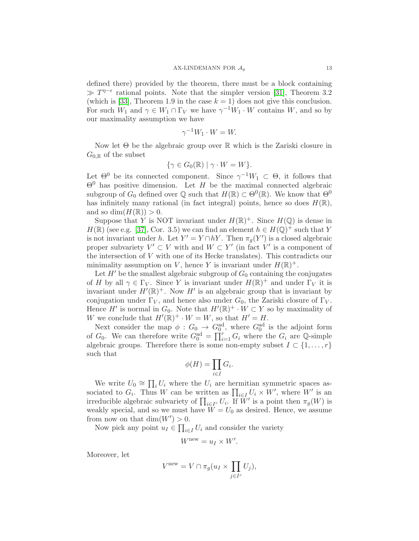defined there) provided by the theorem, there must be a block containing  $\gg T^{\eta-\epsilon}$  rational points. Note that the simpler version [\[31\]](#page-20-0), Theorem 3.2 (which is [\[33\]](#page-20-1), Theorem 1.9 in the case  $k = 1$ ) does not give this conclusion. For such  $W_1$  and  $\gamma \in W_1 \cap \Gamma_V$  we have  $\gamma^{-1}W_1 \cdot W$  contains  $W$ , and so by our maximality assumption we have

$$
\gamma^{-1}W_1 \cdot W = W.
$$

Now let  $\Theta$  be the algebraic group over  $\mathbb R$  which is the Zariski closure in  $G_{0,\mathbb{R}}$  of the subset

$$
\{\gamma \in G_0(\mathbb{R}) \mid \gamma \cdot W = W\}.
$$

Let  $\Theta^0$  be its connected component. Since  $\gamma^{-1}W_1 \subset \Theta$ , it follows that  $\Theta^0$  has positive dimension. Let H be the maximal connected algebraic subgroup of  $G_0$  defined over  $\mathbb Q$  such that  $H(\mathbb R) \subset \Theta^0(\mathbb R)$ . We know that  $\Theta^0$ has infinitely many rational (in fact integral) points, hence so does  $H(\mathbb{R})$ , and so  $\dim(H(\mathbb{R})) > 0$ .

Suppose that Y is NOT invariant under  $H(\mathbb{R})^+$ . Since  $H(\mathbb{Q})$  is dense in  $H(\mathbb{R})$  (see e.g. [\[37\]](#page-20-14), Cor. 3.5) we can find an element  $h \in H(\mathbb{Q})^+$  such that Y is not invariant under h. Let  $Y' = Y \cap hY$ . Then  $\pi_g(Y')$  is a closed algebraic proper subvariety  $V' \subset V$  with and  $W \subset Y'$  (in fact  $V'$  is a component of the intersection of  $V$  with one of its Hecke translates). This contradicts our minimality assumption on V, hence Y is invariant under  $H(\mathbb{R})^+$ .

Let  $H'$  be the smallest algebraic subgroup of  $G_0$  containing the conjugates of H by all  $\gamma \in \Gamma_V$ . Since Y is invariant under  $H(\mathbb{R})^+$  and under  $\Gamma_V$  it is invariant under  $H'(\mathbb{R})^+$ . Now  $H'$  is an algebraic group that is invariant by conjugation under  $\Gamma_V$ , and hence also under  $G_0$ , the Zariski closure of  $\Gamma_V$ . Hence H' is normal in  $G_0$ . Note that  $H'(\mathbb{R})^+ \cdot W \subset Y$  so by maximality of W we conclude that  $H'(\mathbb{R})^+ \cdot W = W$ , so that  $H' = H$ .

Next consider the map  $\phi: G_0 \to G_0^{\text{ad}}$ , where  $G_0^{\text{ad}}$  is the adjoint form of  $G_0$ . We can therefore write  $G_0^{\text{ad}} = \prod_{i=1}^r G_i$  where the  $G_i$  are Q-simple algebraic groups. Therefore there is some non-empty subset  $I \subset \{1, \ldots, r\}$ such that

$$
\phi(H) = \prod_{i \in I} G_i.
$$

We write  $U_0 \cong \prod_i U_i$  where the  $U_i$  are hermitian symmetric spaces associated to  $G_i$ . Thus W can be written as  $\prod_{i\in I} U_i \times W'$ , where W' is an irreducible algebraic subvariety of  $\prod_{i\in I^c} U_i$ . If  $\overline{W}'$  is a point then  $\pi_g(W)$  is weakly special, and so we must have  $\tilde{W} = U_0$  as desired. Hence, we assume from now on that  $\dim(W') > 0$ .

Now pick any point  $u_I \in \prod_{i \in I} U_i$  and consider the variety

$$
W^{\text{new}} = u_I \times W'.
$$

Moreover, let

$$
V^{\text{new}} = V \cap \pi_g(u_I \times \prod_{j \in I^c} U_j),
$$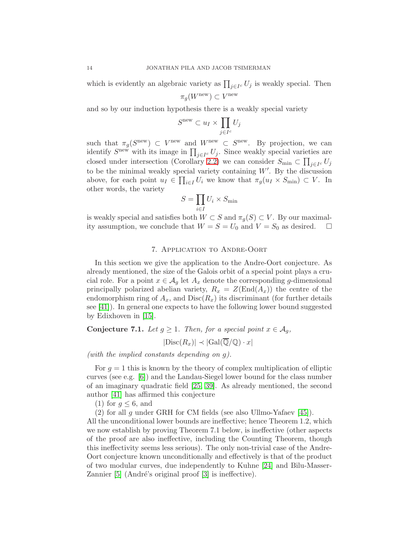which is evidently an algebraic variety as  $\prod_{j\in I^c} U_j$  is weakly special. Then

$$
\pi_g(W^{\text{new}}) \subset V^{\text{new}}
$$

and so by our induction hypothesis there is a weakly special variety

$$
S^{\text{new}} \subset u_I \times \prod_{j \in I^c} U_j
$$

such that  $\pi_g(S^{\text{new}}) \subset V^{\text{new}}$  and  $W^{\text{new}} \subset S^{\text{new}}$ . By projection, we can identify  $S^{\text{new}}$  with its image in  $\prod_{j\in I^c} U_j$ . Since weakly special varieties are closed under intersection (Corollary [2.2\)](#page-4-2) we can consider  $S_{\min} \subset \prod_{j \in I^c} U_j$ to be the minimal weakly special variety containing  $W'$ . By the discussion above, for each point  $u_I \in \prod_{i \in I} U_i$  we know that  $\pi_g(u_I \times S_{\min}) \subset V$ . In other words, the variety

$$
S = \prod_{i \in I} U_i \times S_{\min}
$$

is weakly special and satisfies both  $W \subset S$  and  $\pi_g(S) \subset V$ . By our maximal-<br>ity assumption, we conclude that  $W = S = U_0$  and  $V = S_0$  as desired.  $\square$ ity assumption, we conclude that  $W = S = U_0$  and  $V = S_0$  as desired.

### 7. Application to Andre-Oort

In this section we give the application to the Andre-Oort conjecture. As already mentioned, the size of the Galois orbit of a special point plays a crucial role. For a point  $x \in A_q$  let  $A_x$  denote the corresponding g-dimensional principally polarized abelian variety,  $R_x = Z(\text{End}(A_x))$  the centre of the endomorphism ring of  $A_x$ , and  $Disc(R_x)$  its discriminant (for further details see [\[41\]](#page-20-9)). In general one expects to have the following lower bound suggested by Edixhoven in [\[15\]](#page-19-16).

**Conjecture 7.1.** Let  $g \ge 1$ . Then, for a special point  $x \in A_q$ ,

 $|\text{Disc}(R_x)| \prec |\text{Gal}(\overline{\mathbb{Q}}/\mathbb{Q}) \cdot x|$ 

(with the implied constants depending on g).

For  $g = 1$  this is known by the theory of complex multiplication of elliptic curves (see e.g. [\[6\]](#page-19-17)) and the Landau-Siegel lower bound for the class number of an imaginary quadratic field [\[25,](#page-19-18) [39\]](#page-20-15). As already mentioned, the second author [\[41\]](#page-20-9) has affirmed this conjecture

(1) for  $q \leq 6$ , and

(2) for all g under GRH for CM fields (see also Ullmo-Yafaev [\[45\]](#page-20-10)).

All the unconditional lower bounds are ineffective; hence Theorem 1.2, which we now establish by proving Theorem 7.1 below, is ineffective (other aspects of the proof are also ineffective, including the Counting Theorem, though this ineffectivity seems less serious). The only non-trivial case of the Andre-Oort conjecture known unconditionally and effectively is that of the product of two modular curves, due independently to Kuhne [\[24\]](#page-19-19) and Bilu-Masser-Zannier  $[5]$  (André's original proof  $[3]$  is ineffective).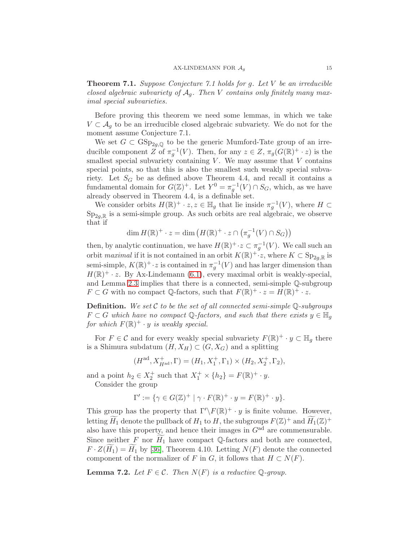Theorem 7.1. Suppose Conjecture 7.1 holds for g. Let V be an irreducible closed algebraic subvariety of  $A_q$ . Then V contains only finitely many maximal special subvarieties.

Before proving this theorem we need some lemmas, in which we take  $V \subset A_q$  to be an irreducible closed algebraic subvariety. We do not for the moment assume Conjecture 7.1.

We set  $G \subset \text{GSp}_{2q,\mathbb{Q}}$  to be the generic Mumford-Tate group of an irreducible component Z of  $\pi_g^{-1}(V)$ . Then, for any  $z \in Z$ ,  $\pi_g(G(\mathbb{R})^+ \cdot z)$  is the smallest special subvariety containing  $V$ . We may assume that  $V$  contains special points, so that this is also the smallest such weakly special subvariety. Let  $S_G$  be as defined above Theorem 4.4, and recall it contains a fundamental domain for  $G(\mathbb{Z})^+$ . Let  $Y^0 = \pi_g^{-1}(V) \cap S_G$ , which, as we have already observed in Theorem 4.4, is a definable set.

We consider orbits  $H(\mathbb{R})^+ \cdot z, z \in \mathbb{H}_g$  that lie inside  $\pi_g^{-1}(V)$ , where  $H \subset$  $Sp_{2q,\mathbb{R}}$  is a semi-simple group. As such orbits are real algebraic, we observe that if

$$
\dim H(\mathbb{R})^+ \cdot z = \dim \left( H(\mathbb{R})^+ \cdot z \cap \left( \pi_g^{-1}(V) \cap S_G \right) \right)
$$

then, by analytic continuation, we have  $H(\mathbb{R})^+ \cdot z \subset \pi_g^{-1}(V)$ . We call such an orbit maximal if it is not contained in an orbit  $K(\mathbb{R})^+ \cdot z$ , where  $K \subset \mathrm{Sp}_{2g,\mathbb{R}}$  is semi-simple,  $K(\mathbb{R})^+ \cdot z$  is contained in  $\pi_g^{-1}(V)$  and has larger dimension than  $H(\mathbb{R})^+ \cdot z$ . By Ax-Lindemann [\(6.1\)](#page-10-2), every maximal orbit is weakly-special, and Lemma [2.3](#page-4-3) implies that there is a connected, semi-simple Q-subgroup  $F \subset G$  with no compact  $\mathbb{Q}$ -factors, such that  $F(\mathbb{R})^+ \cdot z = H(\mathbb{R})^+ \cdot z$ .

**Definition.** We set C to be the set of all connected semi-simple  $\mathbb{Q}$ -subgroups  $F \subset G$  which have no compact Q-factors, and such that there exists  $y \in \mathbb{H}_q$ for which  $F(\mathbb{R})^+ \cdot y$  is weakly special.

For  $F \in \mathcal{C}$  and for every weakly special subvariety  $F(\mathbb{R})^+ \cdot y \subset \mathbb{H}_g$  there is a Shimura subdatum  $(H, X_H) \subset (G, X_G)$  and a splitting

$$
(H^{ad}, X_{H^{ad}}^+, \Gamma) = (H_1, X_1^+, \Gamma_1) \times (H_2, X_2^+, \Gamma_2),
$$

and a point  $h_2 \in X_2^+$  such that  $X_1^+ \times \{h_2\} = F(\mathbb{R})^+ \cdot y$ . Consider the group

$$
\Gamma' := \{ \gamma \in G(\mathbb{Z})^+ \mid \gamma \cdot F(\mathbb{R})^+ \cdot y = F(\mathbb{R})^+ \cdot y \}.
$$

This group has the property that  $\Gamma' \backslash F(\mathbb{R})^+ \cdot y$  is finite volume. However, letting  $H_1$  denote the pullback of  $H_1$  to  $H$ , the subgroups  $F(\mathbb{Z})^+$  and  $H_1(\mathbb{Z})^+$ also have this property, and hence their images in  $G<sup>ad</sup>$  are commensurable. Since neither F nor  $\widetilde{H}_1$  have compact Q-factors and both are connected,  $F \cdot Z(H_1) = H_1$  by [\[36\]](#page-20-16), Theorem 4.10. Letting  $N(F)$  denote the connected component of the normalizer of F in G, it follows that  $H \subset N(F)$ .

**Lemma 7.2.** Let  $F \in \mathcal{C}$ . Then  $N(F)$  is a reductive  $\mathbb{Q}$ -group.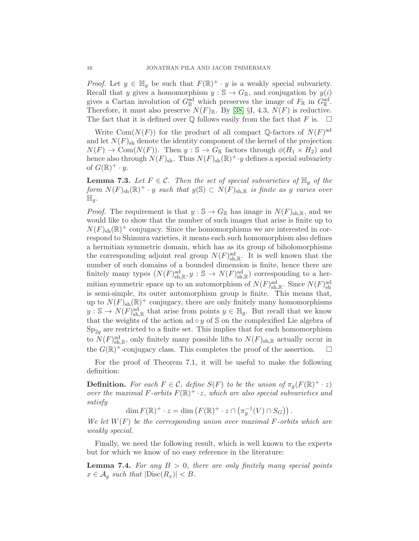*Proof.* Let  $y \in \mathbb{H}_g$  be such that  $F(\mathbb{R})^+ \cdot y$  is a weakly special subvariety. Recall that y gives a homomorphism  $y : \mathbb{S} \to G_{\mathbb{R}}$ , and conjugation by  $y(i)$ gives a Cartan involution of  $G^{\text{ad}}_{\mathbb{R}}$  which preserves the image of  $F_{\mathbb{R}}$  in  $G^{\text{ad}}_{\mathbb{R}}$ . Therefore, it must also preserve  $N(F)_{\mathbb{R}}$ . By [\[38\]](#page-20-17) §I, 4.3,  $N(F)$  is reductive.<br>The fact that it is defined over  $\mathbb{O}$  follows easily from the fact that F is.  $\Box$ The fact that it is defined over  $\mathbb Q$  follows easily from the fact that F is.

Write Com $(N(F))$  for the product of all compact Q-factors of  $N(F)$ <sup>ad</sup> and let  $N(F)_{\text{sh}}$  denote the identity component of the kernel of the projection  $N(F) \to \text{Com}(N(F))$ . Then  $y : \mathbb{S} \to G_{\mathbb{R}}$  factors through  $\phi(H_1 \times H_2)$  and hence also through  $N(F)_{\text{sh}}$ . Thus  $N(F)_{\text{sh}}(\mathbb{R})^+ \cdot y$  defines a special subvariety of  $G(\mathbb{R})^+\cdot y$ .

<span id="page-15-1"></span>**Lemma 7.3.** Let  $F \in \mathcal{C}$ . Then the set of special subvarieties of  $\mathbb{H}_q$  of the form  $N(F)_{\text{sh}}(\mathbb{R})^+ \cdot y$  such that  $y(\mathbb{S}) \subset N(F)_{\text{sh},\mathbb{R}}$  is finite as y varies over  $\mathbb{H}_g$ .

*Proof.* The requirement is that  $y : \mathbb{S} \to G_{\mathbb{R}}$  has image in  $N(F)_{\text{sh},\mathbb{R}}$ , and we would like to show that the number of such images that arise is finite up to  $N(F)_{\text{sh}}(\mathbb{R})^+$  conjugacy. Since the homomorphisms we are interested in correspond to Shimura varieties, it means each such homomorphism also defines a hermitian symmetric domain, which has as its group of biholomorphisms the corresponding adjoint real group  $N(F)_{\text{sh},\mathbb{R}}^{\text{ad}}$ . It is well known that the number of such domains of a bounded dimension is finite, hence there are finitely many types  $(N(F)_{\text{sh},\mathbb{R}}^{\text{ad}}, y : \mathbb{S} \to N(F)_{\text{sh},\mathbb{R}}^{\text{ad}})$  corresponding to a hermitian symmetric space up to an automorphism of  $N(F)_{\text{sh},\mathbb{R}}^{\text{ad}}$ . Since  $N(F)_{\text{sh}}^{\text{ad}}$ is semi-simple, its outer automorphism group is finite. This means that, up to  $N(F)_{sh}(\mathbb{R})^+$  conjugacy, there are only finitely many homomorphisms  $y : \mathbb{S} \to N(F)_{\text{sh},\mathbb{R}}^{\text{ad}}$  that arise from points  $y \in \mathbb{H}_g$ . But recall that we know that the weights of the action ad  $\circ y$  of S on the complexified Lie algebra of  $Sp_{2q}$  are restricted to a finite set. This implies that for each homomorphism to  $N(F)_{\text{sh},\mathbb{R}}^{\text{ad}}$ , only finitely many possible lifts to  $N(F)_{\text{sh},\mathbb{R}}$  actually occur in the  $G(\mathbb{R})^+$ -conjugacy class. This completes the proof of the assertion.  $\Box$ 

For the proof of Theorem 7.1, it will be useful to make the following definition:

**Definition.** For each  $F \in \mathcal{C}$ , define  $S(F)$  to be the union of  $\pi_g(F(\mathbb{R})^+ \cdot z)$ over the maximal F-orbits  $F(\mathbb{R})^+ \cdot z$ , which are also special subvarieties and satisfy

dim  $F(\mathbb{R})^+ \cdot z = \dim \left( F(\mathbb{R})^+ \cdot z \cap \left( \pi_g^{-1}(V) \cap S_G \right) \right)$ .

We let  $W(F)$  be the corresponding union over maximal F-orbits which are weakly special.

Finally, we need the following result, which is well known to the experts but for which we know of no easy reference in the literature:

<span id="page-15-0"></span>**Lemma 7.4.** For any  $B > 0$ , there are only finitely many special points  $x \in \mathcal{A}_q$  such that  $|\text{Disc}(R_x)| < B$ .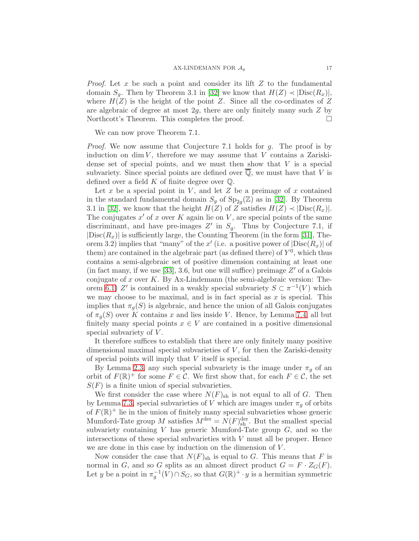*Proof.* Let x be such a point and consider its lift  $Z$  to the fundamental domain  $S_q$ . Then by Theorem 3.1 in [\[32\]](#page-20-4) we know that  $H(Z) \prec |Disc(R_x)|$ , where  $H(Z)$  is the height of the point Z. Since all the co-ordinates of Z are algebraic of degree at most  $2g$ , there are only finitely many such  $Z$  by Northcott's Theorem. This completes the proof.

We can now prove Theorem 7.1.

Proof. We now assume that Conjecture 7.1 holds for g. The proof is by induction on dim  $V$ , therefore we may assume that V contains a Zariskidense set of special points, and we must then show that  $V$  is a special subvariety. Since special points are defined over  $\overline{Q}$ , we must have that V is defined over a field  $K$  of finite degree over  $\mathbb{Q}$ .

Let  $x$  be a special point in  $V$ , and let  $Z$  be a preimage of  $x$  contained in the standard fundamental domain  $S_g$  of  $\text{Sp}_{2g}(\mathbb{Z})$  as in [\[32\]](#page-20-4). By Theorem 3.1 in [\[32\]](#page-20-4), we know that the height  $H(Z)$  of Z satisfies  $H(Z) \prec |Disc(R_x)|$ . The conjugates  $x'$  of x over K again lie on V, are special points of the same discriminant, and have pre-images  $Z'$  in  $S_g$ . Thus by Conjecture 7.1, if  $|\text{Disc}(R_x)|$  is sufficiently large, the Counting Theorem (in the form [\[31\]](#page-20-0), Theorem 3.2) implies that "many" of the x' (i.e. a positive power of  $|\text{Disc}(R_x)|$  of them) are contained in the algebraic part (as defined there) of  $Y<sup>0</sup>$ , which thus contains a semi-algebraic set of positive dimension containing at least one (in fact many, if we use  $[33]$ , 3.6, but one will suffice) preimage  $Z'$  of a Galois conjugate of  $x$  over  $K$ . By Ax-Lindemann (the semi-algebraic version: The-orem [6.1\)](#page-10-2) Z' is contained in a weakly special subvariety  $S \subset \pi^{-1}(V)$  which we may choose to be maximal, and is in fact special as  $x$  is special. This implies that  $\pi_g(S)$  is algebraic, and hence the union of all Galois conjugates of  $\pi_q(S)$  over K contains x and lies inside V. Hence, by Lemma [7.4,](#page-15-0) all but finitely many special points  $x \in V$  are contained in a positive dimensional special subvariety of  $V$ .

It therefore suffices to establish that there are only finitely many positive dimensional maximal special subvarieties of  $V$ , for then the Zariski-density of special points will imply that V itself is special.

By Lemma [2.3,](#page-4-3) any such special subvariety is the image under  $\pi_g$  of an orbit of  $F(\mathbb{R})^+$  for some  $F \in \mathcal{C}$ . We first show that, for each  $F \in \mathcal{C}$ , the set  $S(F)$  is a finite union of special subvarieties.

We first consider the case where  $N(F)_{\text{sh}}$  is not equal to all of G. Then by Lemma [7.3,](#page-15-1) special subvarieties of V which are images under  $\pi_g$  of orbits of  $F(\mathbb{R})^+$  lie in the union of finitely many special subvarieties whose generic Mumford-Tate group M satisfies  $M^{\text{der}} = N(F)_{\text{sh}}^{\text{der}}$ . But the smallest special subvariety containing  $V$  has generic Mumford-Tate group  $G$ , and so the intersections of these special subvarieties with  $V$  must all be proper. Hence we are done in this case by induction on the dimension of  $V$ .

Now consider the case that  $N(F)_{sh}$  is equal to G. This means that F is normal in G, and so G splits as an almost direct product  $G = F \cdot Z_G(F)$ . Let y be a point in  $\pi_g^{-1}(V) \cap S_G$ , so that  $G(\mathbb{R})^+ \cdot y$  is a hermitian symmetric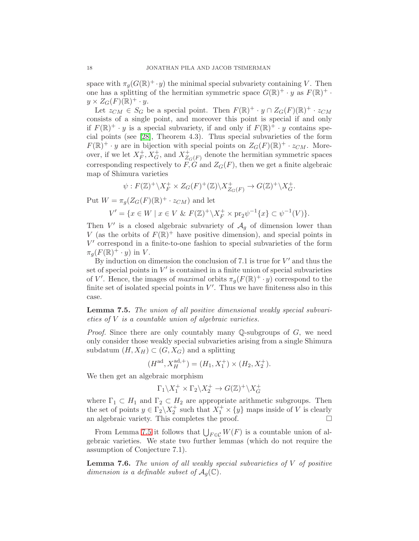space with  $\pi_g(G(\mathbb{R})^+ \cdot y)$  the minimal special subvariety containing V. Then one has a splitting of the hermitian symmetric space  $G(\mathbb{R})^+ \cdot y$  as  $F(\mathbb{R})^+ \cdot$  $y \times Z_G(F)(\mathbb{R})^+ \cdot y.$ 

Let  $z_{CM} \in S_G$  be a special point. Then  $F(\mathbb{R})^+ \cdot y \cap Z_G(F)(\mathbb{R})^+ \cdot z_{CM}$ consists of a single point, and moreover this point is special if and only if  $F(\mathbb{R})^+ \cdot y$  is a special subvariety, if and only if  $F(\mathbb{R})^+ \cdot y$  contains special points (see [\[28\]](#page-19-12), Theorem 4.3). Thus special subvarieties of the form  $F(\mathbb{R})^+ \cdot y$  are in bijection with special points on  $Z_G(F)(\mathbb{R})^+ \cdot z_{CM}$ . Moreover, if we let  $X_F^+$  $F^+$ ,  $X_G^+$ , and  $X_{Z_Q}^+$  $Z_{G}(F)$  denote the hermitian symmetric spaces corresponding respectively to  $F$ , G and  $Z$ <sub>G</sub>(F), then we get a finite algebraic map of Shimura varieties

$$
\psi: F(\mathbb{Z})^+\backslash X^+_F \times Z_G(F)^+(\mathbb{Z})\backslash X^+_{Z_G(F)} \to G(\mathbb{Z})^+\backslash X^+_G.
$$

Put  $W = \pi_g(Z_G(F)(\mathbb{R})^+ \cdot z_{CM})$  and let

$$
V' = \{ x \in W \mid x \in V \& F(\mathbb{Z})^+ \backslash X_F^+ \times \text{pr}_2 \psi^{-1} \{ x \} \subset \psi^{-1}(V) \}.
$$

Then  $V'$  is a closed algebraic subvariety of  $\mathcal{A}_g$  of dimension lower than V (as the orbits of  $F(\mathbb{R})^+$  have positive dimension), and special points in V ′ correspond in a finite-to-one fashion to special subvarieties of the form  $\pi_g(F(\mathbb{R})^+\cdot y)$  in V.

By induction on dimension the conclusion of 7.1 is true for  $V'$  and thus the set of special points in  $V'$  is contained in a finite union of special subvarieties of V'. Hence, the images of maximal orbits  $\pi_g(F(\mathbb{R})^+ \cdot y)$  correspond to the finite set of isolated special points in  $V'$ . Thus we have finiteness also in this case.

<span id="page-17-0"></span>Lemma 7.5. The union of all positive dimensional weakly special subvarieties of  $V$  is a countable union of algebraic varieties.

*Proof.* Since there are only countably many Q-subgroups of  $G$ , we need only consider those weakly special subvarieties arising from a single Shimura subdatum  $(H, X_H) \subset (G, X_G)$  and a splitting

$$
(H^{\text{ad}}, X_H^{\text{ad},+}) = (H_1, X_1^+) \times (H_2, X_2^+).
$$

We then get an algebraic morphism

$$
\Gamma_1 \backslash X_1^+ \times \Gamma_2 \backslash X_2^+ \to G(\mathbb{Z})^+ \backslash X_G^+
$$

where  $\Gamma_1 \subset H_1$  and  $\Gamma_2 \subset H_2$  are appropriate arithmetic subgroups. Then the set of points  $y \in \Gamma_2 \backslash X_2^+$  such that  $X_1^+ \times \{y\}$  maps inside of V is clearly an algebraic variety. This completes the proof.  $\hfill \Box$ 

From Lemma [7.5](#page-17-0) it follows that  $\bigcup_{F \in \mathcal{C}} W(F)$  is a countable union of algebraic varieties. We state two further lemmas (which do not require the assumption of Conjecture 7.1).

Lemma 7.6. The union of all weakly special subvarieties of V of positive dimension is a definable subset of  $A_q(\mathbb{C})$ .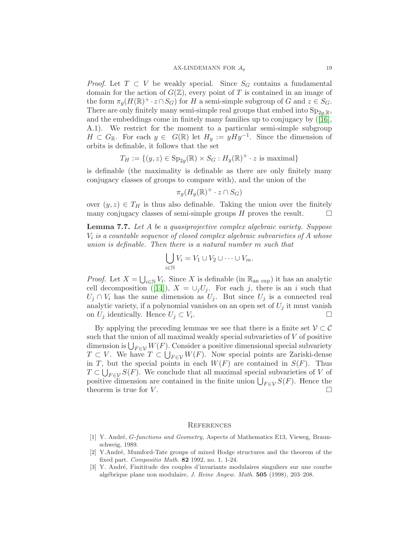*Proof.* Let  $T \subset V$  be weakly special. Since  $S_G$  contains a fundamental domain for the action of  $G(\mathbb{Z})$ , every point of T is contained in an image of the form  $\pi_g(H(\mathbb{R})^+ \cdot z \cap S_G)$  for H a semi-simple subgroup of G and  $z \in S_G$ . There are only finitely many semi-simple real groups that embed into  $Sp_{2a,R}$ , and the embeddings come in finitely many families up to conjugacy by([\[16\]](#page-19-21), A.1). We restrict for the moment to a particular semi-simple subgroup  $H \subset G_{\mathbb{R}}$ . For each  $y \in G(\mathbb{R})$  let  $H_y := yHy^{-1}$ . Since the dimension of orbits is definable, it follows that the set

$$
T_H := \{ (y, z) \in \text{Sp}_{2g}(\mathbb{R}) \times S_G : H_y(\mathbb{R})^+ \cdot z \text{ is maximal} \}
$$

is definable (the maximality is definable as there are only finitely many conjugacy classes of groups to compare with), and the union of the

$$
\pi_g(H_y(\mathbb{R})^+\cdot z\cap S_G)
$$

over  $(y, z) \in T_H$  is thus also definable. Taking the union over the finitely many conjugacy classes of semi-simple groups H proves the result. many conjugacy classes of semi-simple groups  $H$  proves the result.

Lemma 7.7. Let A be a quasiprojective complex algebraic variety. Suppose  $V_i$  is a countable sequence of closed complex algebraic subvarieties of  $A$  whose union is definable. Then there is a natural number m such that

$$
\bigcup_{i\in\mathbb{N}}V_i=V_1\cup V_2\cup\cdots\cup V_m.
$$

*Proof.* Let  $X = \bigcup_{i \in \mathbb{N}} V_i$ . Since X is definable (in  $\mathbb{R}_{\text{an exp}}$ ) it has an analytic celldecomposition ([\[14\]](#page-19-7)),  $X = \bigcup_j U_j$ . For each j, there is an i such that  $U_j \cap V_i$  has the same dimension as  $U_j$ . But since  $U_j$  is a connected real analytic variety, if a polynomial vanishes on an open set of  $U_j$  it must vanish on  $U_j$  identically. Hence  $U_j \subset V_i$ . .

By applying the preceding lemmas we see that there is a finite set  $\mathcal{V} \subset \mathcal{C}$ such that the union of all maximal weakly special subvarieties of  $V$  of positive dimension is  $\bigcup_{F \in \mathcal{V}} W(F)$ . Consider a positive dimensional special subvariety  $T \subset V$ . We have  $T \subset \bigcup_{F \in \mathcal{V}} W(F)$ . Now special points are Zariski-dense in T, but the special points in each  $W(F)$  are contained in  $S(F)$ . Thus  $T \subset \bigcup_{F \in \mathcal{V}} S(F)$ . We conclude that all maximal special subvarieties of V of positive dimension are contained in the finite union  $\bigcup_{F \in \mathcal{V}} S(F)$ . Hence the theorem is true for  $V$ .

#### **REFERENCES**

- <span id="page-18-0"></span>[1] Y. André, G-functions and Geometry, Aspects of Mathematics E13, Vieweg, Braunschweig, 1989.
- <span id="page-18-1"></span>[2] Y.Andr´e, Mumford-Tate groups of mixed Hodge structures and the theorem of the fixed part. Compositio Math. 82 1992, no. 1, 1-24.
- <span id="page-18-2"></span>[3] Y. André, Finititude des couples d'invariants modulaires singuliers sur une courbe algébrique plane non modulaire, *J. Reine Angew. Math.* 505 (1998), 203-208.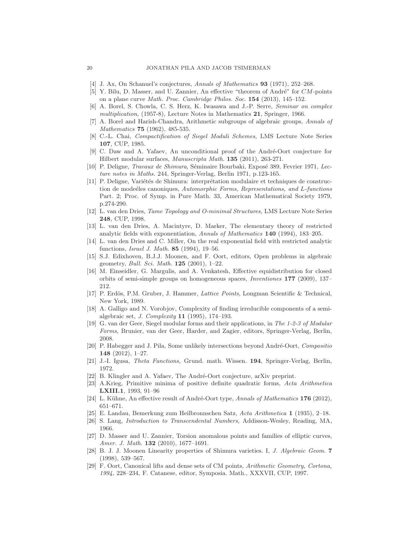- <span id="page-19-20"></span><span id="page-19-0"></span>[4] J. Ax, On Schanuel's conjectures, Annals of Mathematics 93 (1971), 252–268.
- <span id="page-19-17"></span>[5] Y. Bilu, D. Masser, and U. Zannier, An effective "theorem of André" for  $CM$ -points on a plane curve Math. Proc. Cambridge Philos. Soc. 154 (2013), 145–152.
- [6] A. Borel, S. Chowla, C. S. Herz, K. Iwasawa and J.-P. Serre, Seminar on complex multiplication, (1957-8), Lecture Notes in Mathematics 21, Springer, 1966.
- [7] A. Borel and Harish-Chandra, Arithmetic subgroups of algebraic groups, Annals of Mathematics **75** (1962), 485-535.
- <span id="page-19-4"></span>[8] C.-L. Chai, Compactification of Siegel Moduli Schemes, LMS Lecture Note Series 107, CUP, 1985.
- <span id="page-19-10"></span>[9] C. Daw and A. Yafaev, An unconditional proof of the André-Oort conjecture for Hilbert modular surfaces, Manuscripta Math. 135 (2011), 263-271.
- <span id="page-19-11"></span>[10] P. Deligne, *Travaux de Shimura*, Séminaire Bourbaki, Exposé 389, Fevrier 1971, Lecture notes in Maths. 244, Springer-Verlag, Berlin 1971, p.123-165.
- [11] P. Deligne, Variétés de Shimura: interprétation modulaire et techniques de construction de mode éles canoniques, Automorphic Forms, Representations, and L-functions Part. 2; Proc. of Symp. in Pure Math. 33, American Mathematical Society 1979, p.274-290.
- [12] L. van den Dries, Tame Topology and O-minimal Structures, LMS Lecture Note Series 248, CUP, 1998.
- <span id="page-19-14"></span>[13] L. van den Dries, A. Macintyre, D. Marker, The elementary theory of restricted analytic fields with exponentiation, Annals of Mathematics 140 (1994), 183–205.
- <span id="page-19-7"></span>[14] L. van den Dries and C. Miller, On the real exponential field with restricted analytic functions, Israel J. Math. 85 (1994), 19–56.
- <span id="page-19-16"></span>[15] S.J. Edixhoven, B.J.J. Moonen, and F. Oort, editors, Open problems in algebraic geometry, *Bull. Sci. Math.* **125** (2001), 1-22.
- <span id="page-19-21"></span>[16] M. Einseidler, G. Margulis, and A. Venkatesh, Effective equidistribution for closed orbits of semi-simple groups on homogeneous spaces, Inventiones 177 (2009), 137– 212.
- [17] P. Erdös, P.M. Gruber, J. Hammer, *Lattice Points*, Longman Scientific & Technical, New York, 1989.
- <span id="page-19-15"></span>[18] A. Galligo and N. Vorobjov, Complexity of finding irreducible components of a semialgebraic set, J. Complexity 11 (1995), 174–193.
- <span id="page-19-9"></span>[19] G. van der Geer, Siegel modular forms and their applications, in The 1-2-3 of Modular Forms, Brunier, van der Geer, Harder, and Zagier, editors, Springer-Verlag, Berlin, 2008.
- <span id="page-19-6"></span>[20] P. Habegger and J. Pila, Some unlikely intersections beyond André-Oort, Compositio 148 (2012), 1–27.
- <span id="page-19-8"></span><span id="page-19-3"></span>[21] J.-I. Igusa, Theta Functions, Grund. math. Wissen. 194, Springer-Verlag, Berlin, 1972.
- <span id="page-19-13"></span>[22] B. Klingler and A. Yafaev, The André-Oort conjecture, arXiv preprint.
- [23] A.Krieg, Primitive minima of positive definite quadratic forms, Acta Arithmetica LXIII.1, 1993, 91–96
- <span id="page-19-19"></span><span id="page-19-18"></span>[24] L. Kühne, An effective result of André-Oort type, Annals of Mathematics  $176$  (2012), 651–671.
- <span id="page-19-1"></span>[25] E. Landau, Bemerkung zum Heilbronnschen Satz, Acta Arithmetica 1 (1935), 2–18.
- <span id="page-19-5"></span>[26] S. Lang, Introduction to Transcendental Numbers, Addisson-Wesley, Reading, MA, 1966.
- [27] D. Masser and U. Zannier, Torsion anomalous points and families of elliptic curves, Amer. J. Math. **132** (2010), 1677-1691.
- <span id="page-19-12"></span>[28] B. J. J. Moonen Linearity properties of Shimura varieties. I, J. Algebraic Geom. 7 (1998), 539–567.
- <span id="page-19-2"></span>[29] F. Oort, Canonical lifts and dense sets of CM points, Arithmetic Geometry, Cortona, 1994, 228–234, F. Catanese, editor, Symposia. Math., XXXVII, CUP, 1997.